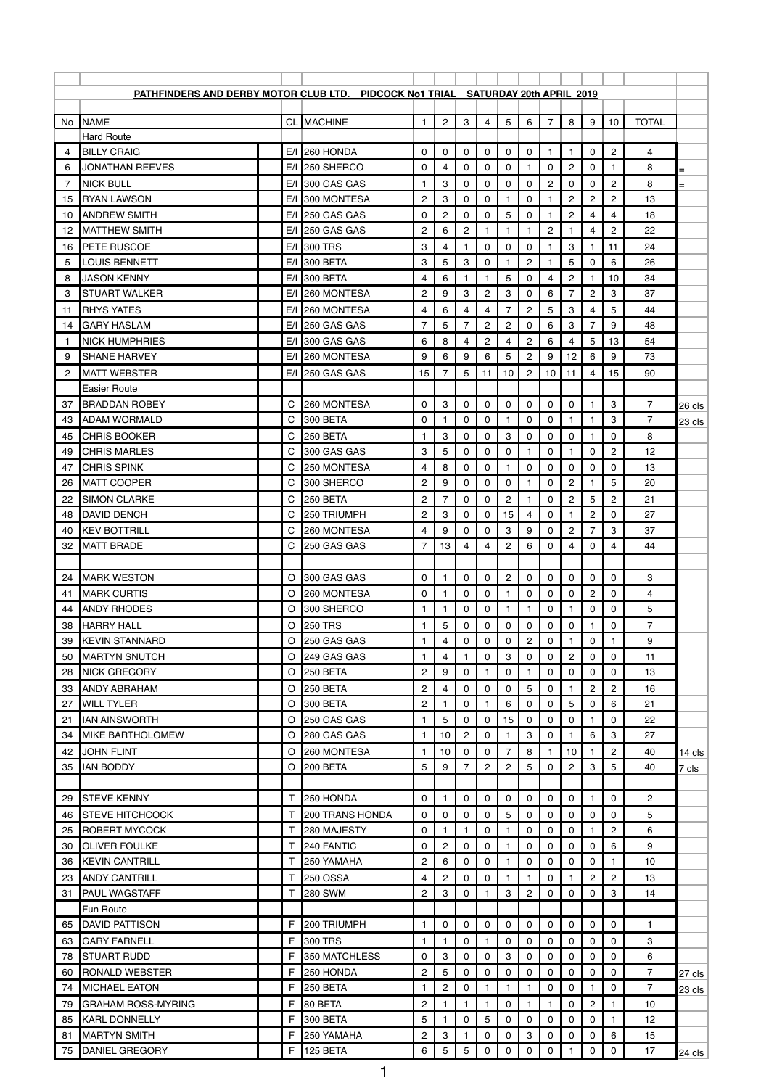|     | <b>PATHFINDERS AND DERBY MOTOR CLUB LTD. PIDCOCK No1 TRIAL SATURDAY 20th APRIL 2019</b> |              |                        |                |                           |                     |                |                  |                |                     |                |                |                  |                 |        |
|-----|-----------------------------------------------------------------------------------------|--------------|------------------------|----------------|---------------------------|---------------------|----------------|------------------|----------------|---------------------|----------------|----------------|------------------|-----------------|--------|
|     |                                                                                         |              |                        |                |                           |                     |                |                  |                |                     |                |                |                  |                 |        |
| No. | <b>NAME</b>                                                                             |              | <b>CL MACHINE</b>      | $\mathbf{1}$   | $\overline{c}$            | 3                   | 4              | 5                | 6              | $\overline{7}$      | 8              | 9              | 10               | <b>TOTAL</b>    |        |
|     | <b>Hard Route</b>                                                                       |              |                        |                |                           |                     |                |                  |                |                     |                |                |                  |                 |        |
| 4   | <b>BILLY CRAIG</b>                                                                      | E/I          | 260 HONDA              | 0              | 0                         | 0                   | 0              | 0                | 0              | 1                   | 1              | 0              | $\overline{c}$   | 4               |        |
| 6   | <b>JONATHAN REEVES</b>                                                                  |              | E/I 250 SHERCO         | 0              | 4                         | $\mathbf 0$         | 0              | 0                |                | $\mathbf 0$         | $\overline{2}$ | 0              | 1                | 8               | $=$    |
| 7   | <b>NICK BULL</b>                                                                        |              | E/I 300 GAS GAS        | 1              | $\mathbf{3}$              | 0                   | 0              | 0                | $\mathbf 0$    | $\overline{c}$      | $\mathbf{0}$   | 0              | $\overline{c}$   | 8               | $=$    |
| 15  | <b>RYAN LAWSON</b>                                                                      | E/I          | 300 MONTESA            | $\overline{c}$ | 3                         | 0                   | 0              |                  | 0              |                     | $\overline{c}$ | $\overline{c}$ | 2                | 13              |        |
| 10  | <b>ANDREW SMITH</b>                                                                     |              | $E/I$ 250 GAS GAS      | 0              | $\overline{c}$            | 0                   | 0              | 5                | 0              |                     | $\overline{c}$ | 4              | 4                | 18              |        |
| 12  | <b>MATTHEW SMITH</b>                                                                    |              | $E/I$ 250 GAS GAS      | $\overline{c}$ | 6                         | $\overline{c}$      |                | 1                |                | $\overline{c}$      |                | 4              | $\overline{c}$   | 22              |        |
| 16  | <b>PETE RUSCOE</b>                                                                      |              | E/I 300 TRS            | 3              | 4                         | 1.                  | 0              | 0                | 0              |                     | 3              | 1              | 11               | 24              |        |
| 5   | <b>LOUIS BENNETT</b>                                                                    |              | E/I 300 BETA           | 3              | 5                         | 3                   | 0              |                  | $\overline{c}$ |                     | 5              | 0              | 6                | 26              |        |
| 8   | <b>JASON KENNY</b>                                                                      | E/I          | 300 BETA               | 4              | 6                         | 1.                  |                | 5                | 0              | 4                   | $\mathbf{2}$   |                | 10               | 34              |        |
| 3   | <b>STUART WALKER</b>                                                                    | E/I          | 260 MONTESA            | $\overline{c}$ | 9                         | 3                   | $\overline{2}$ | 3                | 0              | 6                   | $\overline{7}$ | $\overline{2}$ | 3                | 37              |        |
| 11  | <b>RHYS YATES</b>                                                                       |              | E/I 260 MONTESA        | 4              | 6                         | 4                   | 4              | $\overline{7}$   | $\overline{c}$ | 5                   | 3              | 4              | 5                | 44              |        |
| 14  | <b>GARY HASLAM</b>                                                                      |              | $E/I$ 250 GAS GAS      | $\overline{7}$ | 5                         | 7                   | $\overline{c}$ | 2                | $\mathbf{0}$   | 6                   | 3              | 7              | 9                | 48              |        |
| -1  | <b>NICK HUMPHRIES</b>                                                                   | E/I          | 300 GAS GAS            | 6              | 8                         | 4                   | $\overline{c}$ | 4                | $\overline{c}$ | 6                   | 4              | 5              | 13               | 54              |        |
| 9   | <b>SHANE HARVEY</b>                                                                     |              | E/I 260 MONTESA        | 9              | 6                         | 9                   | 6              | 5                | $\overline{c}$ | 9                   | 12             | 6              | 9                | 73              |        |
| 2   | <b>MATT WEBSTER</b>                                                                     |              | E/I 250 GAS GAS        | 15             | 7                         | 5                   | 11             | 10               | $\overline{c}$ | 10                  | 11             | 4              | 15               | 90              |        |
|     | <b>Easier Route</b>                                                                     |              |                        |                |                           |                     |                |                  |                |                     |                |                |                  |                 |        |
| 37  | <b>BRADDAN ROBEY</b>                                                                    | С            | 260 MONTESA            | 0              | $\ensuremath{\mathsf{3}}$ | 0                   | 0              | 0                | 0              | 0                   | 0              |                | 3                | $\overline{7}$  | 26 cls |
| 43  | ADAM WORMALD                                                                            | C            | 300 BETA               | 0              |                           | $\mathbf 0$         | 0              |                  | $\mathbf 0$    | 0                   | 1              |                | 3                | $\overline{7}$  | 23 cls |
| 45  | <b>CHRIS BOOKER</b>                                                                     | C            | 250 BETA               | 1              | $\mathbf{3}$              | $\mathbf{0}$        | 0              | 3                | $\mathbf 0$    | 0                   | 0              |                | 0                | 8               |        |
| 49  | <b>CHRIS MARLES</b>                                                                     | C            | 300 GAS GAS            | 3              | 5                         | 0                   | 0              | 0                |                | 0                   | 1              | 0              | 2                | 12              |        |
| 47  | <b>CHRIS SPINK</b>                                                                      | C            | 250 MONTESA            | 4              | 8                         | 0                   | 0              |                  | $\mathbf{0}$   | 0                   | 0              | 0              | 0                | 13              |        |
| 26  | <b>MATT COOPER</b>                                                                      | C            | 300 SHERCO             | $\overline{c}$ | 9                         | 0                   | 0              | 0                |                | 0                   | $\overline{c}$ |                | 5                | 20              |        |
| 22  | <b>SIMON CLARKE</b>                                                                     | $\sim$<br>ັ  | <b>250 BETA</b>        | $\overline{c}$ | $\overline{7}$            | $\mathsf{O}\xspace$ | $\pmb{0}$      | $\overline{2}$   | $\mathbf{1}$   | $\mathsf{O}\xspace$ | $\overline{c}$ | 5              | $\boldsymbol{2}$ | 21              |        |
| 48  | DAVID DENCH                                                                             | $\mathsf C$  | 250 TRIUMPH            | $\overline{c}$ | 3                         | $\mathbf{0}$        | $\Omega$       | 15 <sub>15</sub> | 4              | $\Omega$            | 1              | $\overline{c}$ | 0                | 27              |        |
| 40  | <b>KEV BOTTRILL</b>                                                                     | $\mathsf C$  | 260 MONTESA            | 4              | 9                         | $\mathbf{0}$        | 0              | 3                | 9              | 0                   | $\overline{2}$ | $\overline{7}$ | 3                | 37              |        |
| 32  | <b>MATT BRADE</b>                                                                       | $\mathsf{C}$ | 250 GAS GAS            | $\overline{7}$ | 13                        | 4                   | 4              | $\overline{c}$   | 6              | $\mathbf 0$         | 4              | 0              | 4                | 44              |        |
|     |                                                                                         |              |                        |                |                           |                     |                |                  |                |                     |                |                |                  |                 |        |
| 24  | <b>MARK WESTON</b>                                                                      | $\circ$      | 300 GAS GAS            | $\mathbf 0$    |                           | 0                   | 0              | $\overline{c}$   | $\mathbf 0$    | 0                   | 0              | 0              | 0                | 3               |        |
| 41  | <b>MARK CURTIS</b>                                                                      | $\circ$      | 260 MONTESA            | $\mathbf 0$    |                           | 0                   | 0              | 1                | 0              | 0                   | 0              | $\overline{c}$ | 0                | 4               |        |
| 44  | <b>ANDY RHODES</b>                                                                      | $\circ$      | 300 SHERCO             | 1              | 1                         | $\mathbf 0$         | 0              | 1                | 1              | $\pmb{0}$           | 1              | 0              | 0                | 5               |        |
| 38  | <b>HARRY HALL</b>                                                                       | $\circ$      | <b>250 TRS</b>         | 1              | $\sqrt{5}$                | $\mathbf{0}$        | 0              | 0                | $\mathbf 0$    | 0                   | 0              |                | 0                | $\overline{7}$  |        |
| 39  | <b>KEVIN STANNARD</b>                                                                   | $\circ$      | 250 GAS GAS            | 1              | 4                         | 0                   | 0              | 0                | $\overline{c}$ | 0                   | 1              | 0              | 1                | 9               |        |
| 50  | <b>MARTYN SNUTCH</b>                                                                    | $\circ$      | 249 GAS GAS            | $\mathbf{1}$   | 4                         |                     | 0              | 3                | 0              | 0                   | $\overline{2}$ | 0              | 0                | 11              |        |
| 28  | <b>NICK GREGORY</b>                                                                     | $\circ$      | 250 BETA               | $\overline{c}$ | 9                         | $\mathbf 0$         |                | 0                | 1              | 0                   | $\mathbf 0$    | 0              | 0                | 13              |        |
| 33  | <b>ANDY ABRAHAM</b>                                                                     | $\circ$      | 250 BETA               | $\overline{c}$ | 4                         | 0                   | 0              | 0                | 5              | $\mathbf 0$         | 1              | $\overline{c}$ | $\overline{c}$   | 16              |        |
| 27  | <b>WILL TYLER</b>                                                                       | $\circ$      | 300 BETA               | $\overline{c}$ |                           | 0                   |                | 6                | 0              | 0                   | 5              | 0              | 6                | 21              |        |
| 21  | <b>IAN AINSWORTH</b>                                                                    | $\circ$      | 250 GAS GAS            | 1              | 5                         | $\mathbf{0}$        | 0              | 15               | 0              | 0                   | 0              |                | 0                | 22              |        |
| 34  | <b>MIKE BARTHOLOMEW</b>                                                                 | $\circ$      | 280 GAS GAS            | 1              | 10                        | $\overline{2}$      | 0              |                  | 3              | $\mathbf 0$         | 1              | 6              | 3                | 27              |        |
| 42  | <b>JOHN FLINT</b>                                                                       | $\circ$      | 260 MONTESA            | $\mathbf{1}$   | 10                        | 0                   | 0              | 7                | 8              |                     | 10             |                | $\overline{2}$   | 40              | 14 cls |
| 35  | <b>IAN BODDY</b>                                                                        | O            | 200 BETA               | 5              | 9                         | 7                   | $\overline{c}$ | 2                | 5              | 0                   | $\mathbf{2}$   | 3              | 5                | 40              | 7 cls  |
|     |                                                                                         |              |                        |                |                           |                     |                |                  |                |                     |                |                |                  |                 |        |
| 29  | <b>STEVE KENNY</b>                                                                      | T.           | 250 HONDA              | $\mathbf 0$    | $\mathbf 1$               | $\mathbf 0$         | 0              | 0                | $\mathbf 0$    | $\mathbf 0$         | 0              |                | 0                | $\overline{2}$  |        |
| 46  | <b>STEVE HITCHCOCK</b>                                                                  | $\mathsf T$  | <b>200 TRANS HONDA</b> | 0              | $\mathbf 0$               | 0                   | 0              | 5                | 0              | $\mathbf 0$         | 0              | 0              | 0                | 5               |        |
| 25  | <b>ROBERT MYCOCK</b>                                                                    | Τ            | 280 MAJESTY            | 0              |                           |                     | 0              |                  | 0              | 0                   | 0              |                | $\overline{c}$   | 6               |        |
| 30  | <b>OLIVER FOULKE</b>                                                                    | $\mathsf{T}$ | 240 FANTIC             | $\mathbf 0$    | $\overline{2}$            | 0                   | 0              |                  | 0              | 0                   | $\mathbf{0}$   | 0              | 6                | 9               |        |
| 36  | <b>KEVIN CANTRILL</b>                                                                   | T.           | 250 YAMAHA             | $\overline{c}$ | 6                         | $\mathbf{0}$        | 0              | 1                | 0              | 0                   | 0              | 0              | 1                | 10              |        |
| 23  | <b>ANDY CANTRILL</b>                                                                    | $\mathsf{T}$ | 250 OSSA               | 4              | $\overline{c}$            | 0                   | 0              | 1                |                | 0                   | 1.             | $\overline{c}$ | $\overline{c}$   | 13              |        |
| 31  | <b>PAUL WAGSTAFF</b>                                                                    | $\mathsf{T}$ | <b>280 SWM</b>         | $\overline{c}$ | 3                         | 0                   |                | 3                | $\overline{c}$ | 0                   | 0              | 0              | 3                | 14              |        |
|     | Fun Route                                                                               |              |                        |                |                           |                     |                |                  |                |                     |                |                |                  |                 |        |
|     | 65 DAVID PATTISON                                                                       |              | F 200 TRIUMPH          | $\mathbf{1}$   | $\overline{0}$            | $\mathbf 0$         | $\mathbf 0$    | $\overline{0}$   | $\mathbf 0$    | $\overline{0}$      | $\mathbf 0$    | $\mathbf 0$    | $\overline{0}$   |                 |        |
|     |                                                                                         |              |                        |                |                           |                     |                |                  |                |                     |                |                |                  | $\mathbf{1}$    |        |
| 63  | <b>GARY FARNELL</b>                                                                     | $\mathsf F$  | 300 TRS                | $\mathbf{1}$   | $\mathbf{1}$              | 0                   | $\mathbf{1}$   | 0                | $\mathbf 0$    | $\mathbf 0$         | 0              | 0              | 0                | 3               |        |
| 78  | <b>STUART RUDD</b>                                                                      | F            | 350 MATCHLESS          | 0              | $\mathbf 3$               | 0                   | 0              | 3                | $\mathbf 0$    | 0                   | 0              | 0              | 0                | 6               |        |
| 60  | <b>RONALD WEBSTER</b>                                                                   | F            | 250 HONDA              | $\overline{c}$ | 5                         | 0                   | 0              | 0                | 0              | 0                   | 0              | 0              | 0                | $7\overline{ }$ | 27 cls |
| 74  | <b>MICHAEL EATON</b>                                                                    | F            | 250 BETA               | 1              | $\mathbf{2}$              | 0                   | $\mathbf{1}$   | 1                | 1              | $\mathbf 0$         | 0              | 1              | 0                | $\overline{7}$  | 23 cls |
| 79  | <b>GRAHAM ROSS-MYRING</b>                                                               | F            | 80 BETA                | $\overline{c}$ |                           | 1                   | $\mathbf{1}$   | 0                |                | 1                   | 0              | $\overline{c}$ | 1                | 10              |        |
| 85  | KARL DONNELLY                                                                           | F            | 300 BETA               | 5              |                           | 0                   | 5              | 0                | 0              | 0                   | 0              | 0              | 1.               | 12              |        |
| 81  | <b>MARTYN SMITH</b>                                                                     | F            | 250 YAMAHA             | $\overline{c}$ | 3                         | 1.                  | 0              | 0                | 3              | 0                   | 0              | 0              | 6                | 15              |        |
|     | 75 DANIEL GREGORY                                                                       | F            | 125 BETA               | 6              | $\overline{5}$            | 5                   | 0              | 0                | 0              | 0                   |                | 0              | 0                | 17              | 24 cls |